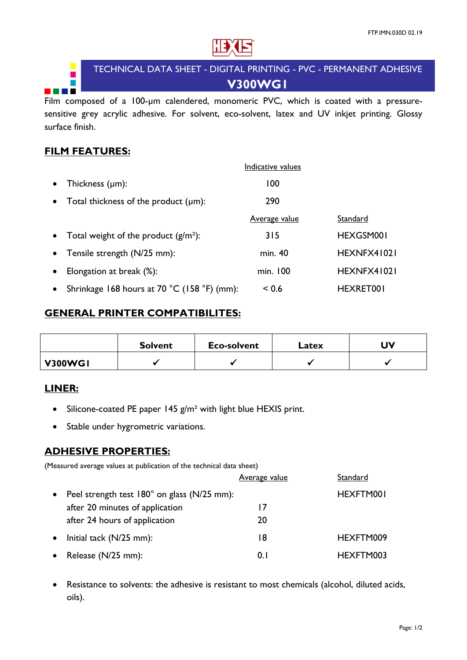

# TECHNICAL DATA SHEET - DIGITAL PRINTING - PVC - PERMANENT ADHESIVE **V300WG1**

Film composed of a 100-um calendered, monomeric PVC, which is coated with a pressuresensitive grey acrylic adhesive. For solvent, eco-solvent, latex and UV inkjet printing. Glossy surface finish.

# **FILM FEATURES:**

 $\blacksquare$ 

a ka

|           |                                             | Indicative values    |                  |
|-----------|---------------------------------------------|----------------------|------------------|
| $\bullet$ | Thickness $(\mu m)$ :                       | 100                  |                  |
| $\bullet$ | Total thickness of the product $(\mu m)$ :  | 290                  |                  |
|           |                                             | <b>Average value</b> | Standard         |
|           | • Total weight of the product $(g/m^2)$ :   | 315                  | HEXGSM001        |
| $\bullet$ | Tensile strength (N/25 mm):                 | min. 40              | HEXNFX41021      |
| $\bullet$ | Elongation at break (%):                    | min. 100             | HEXNFX41021      |
| $\bullet$ | Shrinkage 168 hours at 70 °C (158 °F) (mm): | ~< 0.6               | <b>HEXRET001</b> |

#### **GENERAL PRINTER COMPATIBILITES:**

|                | <b>Solvent</b> | <b>Eco-solvent</b> | Latex | <b>UV</b> |
|----------------|----------------|--------------------|-------|-----------|
| <b>V300WG1</b> |                |                    |       |           |

# **LINER:**

- Silicone-coated PE paper 145  $g/m^2$  with light blue HEXIS print.
- Stable under hygrometric variations.

# **ADHESIVE PROPERTIES:**

(Measured average values at publication of the technical data sheet)

|           |                                             | <b>Average value</b> | Standard  |
|-----------|---------------------------------------------|----------------------|-----------|
| $\bullet$ | Peel strength test 180° on glass (N/25 mm): |                      | HEXFTM001 |
|           | after 20 minutes of application             | 17                   |           |
|           | after 24 hours of application               | 20                   |           |
| $\bullet$ | Initial tack (N/25 mm):                     | 18                   | HEXFTM009 |
|           | • Release $(N/25$ mm):                      | 0. I                 | HEXFTM003 |

• Resistance to solvents: the adhesive is resistant to most chemicals (alcohol, diluted acids, oils).